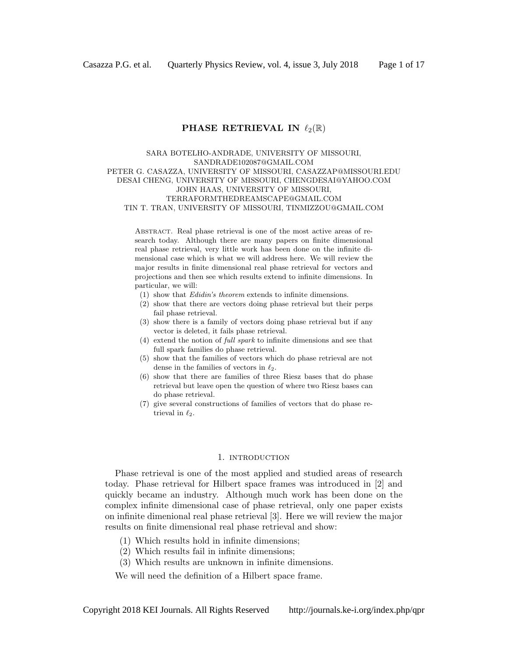# PHASE RETRIEVAL IN  $\ell_2(\mathbb{R})$

# SARA BOTELHO-ANDRADE, UNIVERSITY OF MISSOURI, SANDRADE102087@GMAIL.COM PETER G. CASAZZA, UNIVERSITY OF MISSOURI, CASAZZAP@MISSOURI.EDU DESAI CHENG, UNIVERSITY OF MISSOURI, CHENGDESAI@YAHOO.COM JOHN HAAS, UNIVERSITY OF MISSOURI, TERRAFORMTHEDREAMSCAPE@GMAIL.COM TIN T. TRAN, UNIVERSITY OF MISSOURI, TINMIZZOU@GMAIL.COM

ABSTRACT. Real phase retrieval is one of the most active areas of research today. Although there are many papers on finite dimensional real phase retrieval, very little work has been done on the infinite dimensional case which is what we will address here. We will review the major results in finite dimensional real phase retrieval for vectors and projections and then see which results extend to infinite dimensions. In particular, we will:

- (1) show that Edidin's theorem extends to infinite dimensions.
- (2) show that there are vectors doing phase retrieval but their perps fail phase retrieval.
- (3) show there is a family of vectors doing phase retrieval but if any vector is deleted, it fails phase retrieval.
- (4) extend the notion of full spark to infinite dimensions and see that full spark families do phase retrieval.
- (5) show that the families of vectors which do phase retrieval are not dense in the families of vectors in  $\ell_2$ .
- (6) show that there are families of three Riesz bases that do phase retrieval but leave open the question of where two Riesz bases can do phase retrieval.
- (7) give several constructions of families of vectors that do phase retrieval in  $\ell_2$ .

# 1. INTRODUCTION

Phase retrieval is one of the most applied and studied areas of research today. Phase retrieval for Hilbert space frames was introduced in [2] and quickly became an industry. Although much work has been done on the complex infinite dimensional case of phase retrieval, only one paper exists on infinite dimenional real phase retrieval [3]. Here we will review the major results on finite dimensional real phase retrieval and show:

- (1) Which results hold in infinite dimensions;
- (2) Which results fail in infinite dimensions;
- (3) Which results are unknown in infinite dimensions.

We will need the definition of a Hilbert space frame.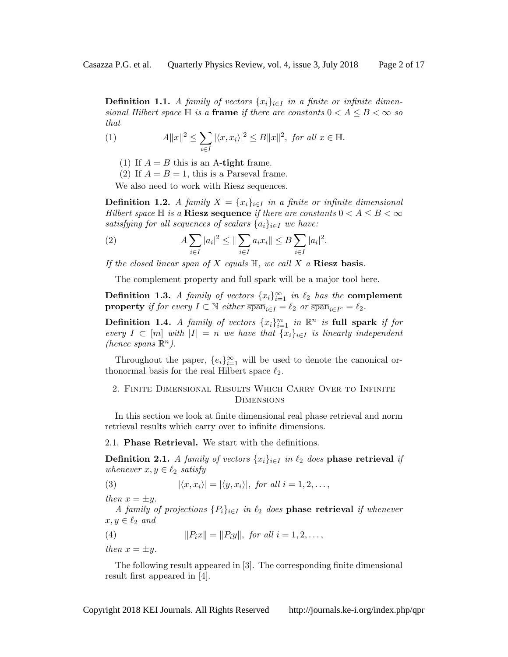**Definition 1.1.** A family of vectors  $\{x_i\}_{i\in I}$  in a finite or infinite dimensional Hilbert space  $\mathbb H$  is a frame if there are constants  $0 < A \leq B < \infty$  so that

(1) 
$$
A||x||^2 \leq \sum_{i \in I} |\langle x, x_i \rangle|^2 \leq B||x||^2, \text{ for all } x \in \mathbb{H}.
$$

(1) If  $A = B$  this is an A-tight frame.

(2) If  $A = B = 1$ , this is a Parseval frame.

We also need to work with Riesz sequences.

**Definition 1.2.** A family  $X = \{x_i\}_{i \in I}$  in a finite or infinite dimensional Hilbert space  $\mathbb H$  is a **Riesz sequence** if there are constants  $0 < A \leq B < \infty$ satisfying for all sequences of scalars  $\{a_i\}_{i\in I}$  we have:

(2) 
$$
A \sum_{i \in I} |a_i|^2 \le ||\sum_{i \in I} a_i x_i|| \le B \sum_{i \in I} |a_i|^2.
$$

If the closed linear span of X equals  $\mathbb{H}$ , we call X a **Riesz basis**.

The complement property and full spark will be a major tool here.

**Definition 1.3.** A family of vectors  $\{x_i\}_{i=1}^{\infty}$  in  $\ell_2$  has the **complement property** if for every  $I \subset \mathbb{N}$  either  $\overline{\text{span}}_{i \in I} = \ell_2$  or  $\overline{\text{span}}_{i \in I^c} = \ell_2$ .

**Definition 1.4.** A family of vectors  $\{x_i\}_{i=1}^m$  in  $\mathbb{R}^n$  is full spark if for every  $I \subset [m]$  with  $|I| = n$  we have that  $\{x_i\}_{i \in I}$  is linearly independent (hence spans  $\mathbb{R}^n$ ).

Throughout the paper,  ${e_i}_{i=1}^{\infty}$  will be used to denote the canonical orthonormal basis for the real Hilbert space  $\ell_2$ .

# 2. Finite Dimensional Results Which Carry Over to Infinite **DIMENSIONS**

In this section we look at finite dimensional real phase retrieval and norm retrieval results which carry over to infinite dimensions.

2.1. Phase Retrieval. We start with the definitions.

**Definition 2.1.** A family of vectors  $\{x_i\}_{i\in I}$  in  $\ell_2$  does phase retrieval if whenever  $x, y \in \ell_2$  satisfy

(3) 
$$
|\langle x, x_i \rangle| = |\langle y, x_i \rangle|, \text{ for all } i = 1, 2, \dots,
$$

then  $x = \pm y$ .

A family of projections  $\{P_i\}_{i\in I}$  in  $\ell_2$  does **phase retrieval** if whenever  $x, y \in \ell_2$  and

(4) 
$$
||P_ix|| = ||P_iy||, \text{ for all } i = 1, 2, \ldots,
$$

then  $x = \pm y$ .

The following result appeared in [3]. The corresponding finite dimensional result first appeared in [4].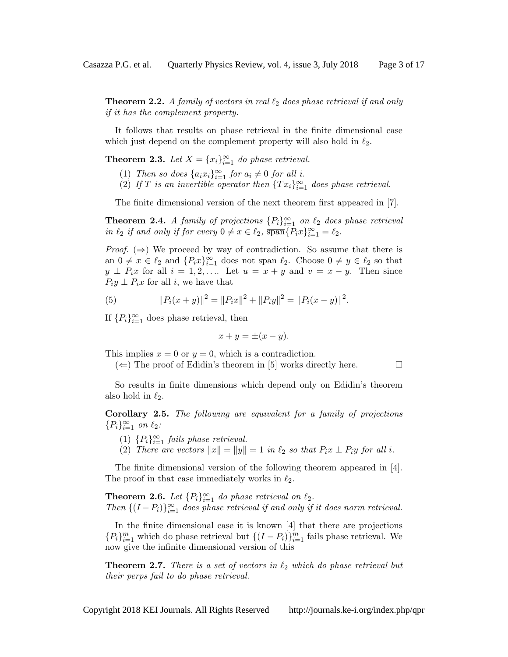**Theorem 2.2.** A family of vectors in real  $\ell_2$  does phase retrieval if and only if it has the complement property.

It follows that results on phase retrieval in the finite dimensional case which just depend on the complement property will also hold in  $\ell_2$ .

**Theorem 2.3.** Let  $X = \{x_i\}_{i=1}^{\infty}$  do phase retrieval.

- (1) Then so does  $\{a_i x_i\}_{i=1}^{\infty}$  for  $a_i \neq 0$  for all i.
- (2) If T is an invertible operator then  $\{Tx_i\}_{i=1}^{\infty}$  does phase retrieval.

The finite dimensional version of the next theorem first appeared in [7].

**Theorem 2.4.** A family of projections  $\{P_i\}_{i=1}^{\infty}$  on  $\ell_2$  does phase retrieval in  $\ell_2$  if and only if for every  $0 \neq x \in \ell_2$ ,  $\overline{\text{span}}\{P_ix\}_{i=1}^\infty = \ell_2$ .

*Proof.* ( $\Rightarrow$ ) We proceed by way of contradiction. So assume that there is an  $0 \neq x \in \ell_2$  and  $\{P_ix\}_{i=1}^{\infty}$  does not span  $\ell_2$ . Choose  $0 \neq y \in \ell_2$  so that  $y \perp P_i x$  for all  $i = 1, 2, \ldots$  Let  $u = x + y$  and  $v = x - y$ . Then since  $P_i y \perp P_i x$  for all *i*, we have that

(5) 
$$
||P_i(x+y)||^2 = ||P_ix||^2 + ||P_iy||^2 = ||P_i(x-y)||^2.
$$

If  ${P<sub>i</sub>}_{i=1}^{\infty}$  does phase retrieval, then

$$
x + y = \pm (x - y).
$$

This implies  $x = 0$  or  $y = 0$ , which is a contradiction.

 $(\Leftarrow)$  The proof of Edidin's theorem in [5] works directly here.

So results in finite dimensions which depend only on Edidin's theorem also hold in  $\ell_2$ .

Corollary 2.5. The following are equivalent for a family of projections  ${P<sub>i</sub>}_{i=1}^{\infty}$  on  $\ell_2$ :

- (1)  $\{P_i\}_{i=1}^{\infty}$  fails phase retrieval.
- (2) There are vectors  $||x|| = ||y|| = 1$  in  $\ell_2$  so that  $P_ix \perp P_iy$  for all i.

The finite dimensional version of the following theorem appeared in [4]. The proof in that case immediately works in  $\ell_2$ .

**Theorem 2.6.** Let  $\{P_i\}_{i=1}^{\infty}$  do phase retrieval on  $\ell_2$ . Then  $\{(I-P_i)\}_{i=1}^{\infty}$  does phase retrieval if and only if it does norm retrieval.

In the finite dimensional case it is known [4] that there are projections  ${P_i}_{i=1}^m$  which do phase retrieval but  ${(I - P_i)}_{i=1}^m$  fails phase retrieval. We now give the infinite dimensional version of this

**Theorem 2.7.** There is a set of vectors in  $\ell_2$  which do phase retrieval but their perps fail to do phase retrieval.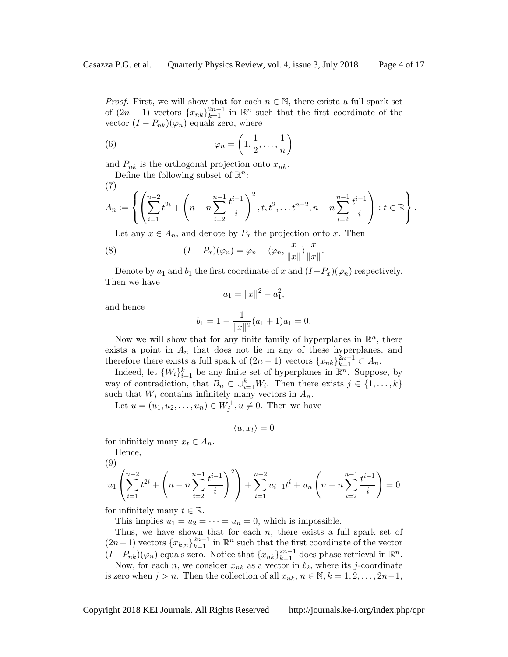*Proof.* First, we will show that for each  $n \in \mathbb{N}$ , there exists a full spark set of  $(2n-1)$  vectors  $\{x_{nk}\}_{k=1}^{2n-1}$  in  $\mathbb{R}^n$  such that the first coordinate of the vector  $(I - P_{nk})(\varphi_n)$  equals zero, where

(6) 
$$
\varphi_n = \left(1, \frac{1}{2}, \dots, \frac{1}{n}\right)
$$

and  $P_{nk}$  is the orthogonal projection onto  $x_{nk}$ . Define the following subset of  $\mathbb{R}^n$ :

(7)  

$$
A_n := \left\{ \left( \sum_{i=1}^{n-2} t^{2i} + \left( n - n \sum_{i=2}^{n-1} \frac{t^{i-1}}{i} \right)^2, t, t^2, \dots, t^{n-2}, n - n \sum_{i=2}^{n-1} \frac{t^{i-1}}{i} \right) : t \in \mathbb{R} \right\}.
$$

Let any  $x \in A_n$ , and denote by  $P_x$  the projection onto x. Then

(8) 
$$
(I - P_x)(\varphi_n) = \varphi_n - \langle \varphi_n, \frac{x}{\|x\|} \rangle \frac{x}{\|x\|}.
$$

Denote by  $a_1$  and  $b_1$  the first coordinate of x and  $(I-P_x)(\varphi_n)$  respectively. Then we have

$$
a_1 = ||x||^2 - a_1^2,
$$

and hence

$$
b_1 = 1 - \frac{1}{\|x\|^2} (a_1 + 1)a_1 = 0.
$$

Now we will show that for any finite family of hyperplanes in  $\mathbb{R}^n$ , there exists a point in  $A_n$  that does not lie in any of these hyperplanes, and therefore there exists a full spark of  $(2n-1)$  vectors  $\{x_{nk}\}_{k=1}^{2n-1} \subset A_n$ .

Indeed, let  $\{W_i\}_{i=1}^k$  be any finite set of hyperplanes in  $\mathbb{R}^n$ . Suppose, by way of contradiction, that  $B_n \subset \bigcup_{i=1}^k W_i$ . Then there exists  $j \in \{1, ..., k\}$ such that  $W_j$  contains infinitely many vectors in  $A_n$ .

Let  $u = (u_1, u_2, \dots, u_n) \in W_j^{\perp}, u \neq 0$ . Then we have

$$
\langle u, x_t \rangle = 0
$$

for infinitely many  $x_t \in A_n$ .

Hence,  $(9)$ 

$$
u_1\left(\sum_{i=1}^{n-2} t^{2i} + \left(n - n\sum_{i=2}^{n-1} \frac{t^{i-1}}{i}\right)^2\right) + \sum_{i=1}^{n-2} u_{i+1}t^i + u_n\left(n - n\sum_{i=2}^{n-1} \frac{t^{i-1}}{i}\right) = 0
$$

for infinitely many  $t \in \mathbb{R}$ .

This implies  $u_1 = u_2 = \cdots = u_n = 0$ , which is impossible.

Thus, we have shown that for each  $n$ , there exists a full spark set of  $(2n-1)$  vectors  ${x_{k,n}}_{k=1}^{2n-1}$  in  $\mathbb{R}^n$  such that the first coordinate of the vector  $(I - P_{nk})(\varphi_n)$  equals zero. Notice that  $\{x_{nk}\}_{k=1}^{2n-1}$  does phase retrieval in  $\mathbb{R}^n$ .

Now, for each n, we consider  $x_{nk}$  as a vector in  $\ell_2$ , where its j-coordinate is zero when  $j > n$ . Then the collection of all  $x_{nk}$ ,  $n \in \mathbb{N}$ ,  $k = 1, 2, ..., 2n-1$ ,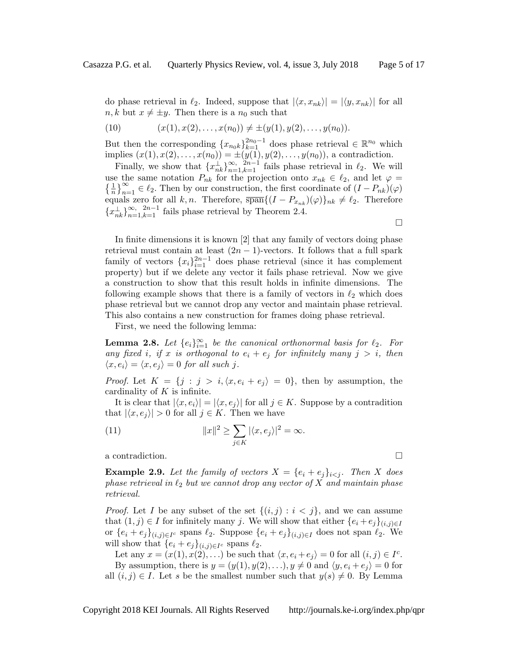do phase retrieval in  $\ell_2$ . Indeed, suppose that  $|\langle x, x_{nk}\rangle| = |\langle y, x_{nk}\rangle|$  for all  $n, k$  but  $x \neq \pm y$ . Then there is a  $n_0$  such that

(10) 
$$
(x(1), x(2), \ldots, x(n_0)) \neq \pm(y(1), y(2), \ldots, y(n_0)).
$$

But then the corresponding  $\{x_{n_0k}\}_{k=1}^{2n_0-1}$  does phase retrieval  $\in \mathbb{R}^{n_0}$  which implies  $(x(1), x(2), \ldots, x(n_0)) = \pm(y(1), y(2), \ldots, y(n_0))$ , a contradiction.

Finally, we show that  $\{x_{nk}^{\perp}\}_{n=1,k=1}^{\infty}$  fails phase retrieval in  $\ell_2$ . We will use the same notation  $P_{nk}$  for the projection onto  $x_{nk} \in \ell_2$ , and let  $\varphi =$  $\frac{1}{2}$  $\frac{1}{n}\Big\}_{n=1}^{\infty} \in \ell_2$ . Then by our construction, the first coordinate of  $(I - P_{nk})(\varphi)$ equals zero for all k, n. Therefore,  $\overline{\text{span}}\{(I - P_{x_{nk}})(\varphi)\}_{nk} \neq \ell_2$ . Therefore  ${x_{nk}^{\perp}}_{n=1,k=1}^{\infty, 2n-1}$  fails phase retrieval by Theorem 2.4.

In finite dimensions it is known [2] that any family of vectors doing phase retrieval must contain at least  $(2n - 1)$ -vectors. It follows that a full spark family of vectors  ${x_i}_{i=1}^{2n-1}$  does phase retrieval (since it has complement property) but if we delete any vector it fails phase retrieval. Now we give a construction to show that this result holds in infinite dimensions. The following example shows that there is a family of vectors in  $\ell_2$  which does phase retrieval but we cannot drop any vector and maintain phase retrieval. This also contains a new construction for frames doing phase retrieval.

First, we need the following lemma:

**Lemma 2.8.** Let  $\{e_i\}_{i=1}^{\infty}$  be the canonical orthonormal basis for  $\ell_2$ . For any fixed i, if x is orthogonal to  $e_i + e_j$  for infinitely many  $j > i$ , then  $\langle x, e_i \rangle = \langle x, e_j \rangle = 0$  for all such j.

*Proof.* Let  $K = \{j : j > i, \langle x, e_i + e_j \rangle = 0\}$ , then by assumption, the cardinality of  $K$  is infinite.

It is clear that  $|\langle x, e_i \rangle| = |\langle x, e_i \rangle|$  for all  $j \in K$ . Suppose by a contradition that  $|\langle x, e_j \rangle| > 0$  for all  $j \in K$ . Then we have

(11) 
$$
||x||^2 \ge \sum_{j \in K} |\langle x, e_j \rangle|^2 = \infty.
$$

a contradiction.

**Example 2.9.** Let the family of vectors  $X = \{e_i + e_j\}_{i \leq j}$ . Then X does phase retrieval in  $\ell_2$  but we cannot drop any vector of X and maintain phase retrieval.

*Proof.* Let I be any subset of the set  $\{(i, j) : i < j\}$ , and we can assume that  $(1, j) \in I$  for infinitely many j. We will show that either  $\{e_i + e_j\}_{(i,j) \in I}$ or  $\{e_i + e_j\}_{(i,j)\in I^c}$  spans  $\ell_2$ . Suppose  $\{e_i + e_j\}_{(i,j)\in I}$  does not span  $\ell_2$ . We will show that  $\{e_i + e_j\}_{(i,j) \in I^c}$  spans  $\ell_2$ .

Let any  $x = (x(1), x(2), ...)$  be such that  $\langle x, e_i + e_j \rangle = 0$  for all  $(i, j) \in I^c$ . By assumption, there is  $y = (y(1), y(2), \ldots), y \neq 0$  and  $\langle y, e_i + e_j \rangle = 0$  for all  $(i, j) \in I$ . Let s be the smallest number such that  $y(s) \neq 0$ . By Lemma

 $\Box$ 

$$
\Box
$$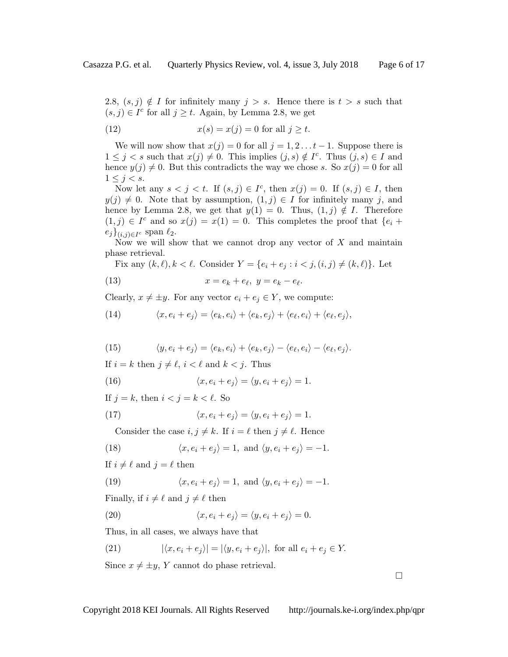(12) 
$$
x(s) = x(j) = 0 \text{ for all } j \ge t.
$$

We will now show that  $x(j) = 0$  for all  $j = 1, 2...t - 1$ . Suppose there is  $1 \leq j \leq s$  such that  $x(j) \neq 0$ . This implies  $(j, s) \notin I^c$ . Thus  $(j, s) \in I$  and hence  $y(j) \neq 0$ . But this contradicts the way we chose s. So  $x(j) = 0$  for all  $1 \leq j < s$ .

Now let any  $s < j < t$ . If  $(s, j) \in I^c$ , then  $x(j) = 0$ . If  $(s, j) \in I$ , then  $y(j) \neq 0$ . Note that by assumption,  $(1, j) \in I$  for infinitely many j, and hence by Lemma 2.8, we get that  $y(1) = 0$ . Thus,  $(1, j) \notin I$ . Therefore  $(1, j) \in I^c$  and so  $x(j) = x(1) = 0$ . This completes the proof that  $\{e_i +$  $e_j\}_{(i,j)\in I^c}$  span  $\ell_2$ .

Now we will show that we cannot drop any vector of  $X$  and maintain phase retrieval.

Fix any  $(k, \ell), k < \ell$ . Consider  $Y = \{e_i + e_j : i < j, (i, j) \neq (k, \ell)\}\.$  Let

(13) 
$$
x = e_k + e_\ell, \ y = e_k - e_\ell.
$$

Clearly,  $x \neq \pm y$ . For any vector  $e_i + e_j \in Y$ , we compute:

(14) 
$$
\langle x, e_i + e_j \rangle = \langle e_k, e_i \rangle + \langle e_k, e_j \rangle + \langle e_\ell, e_i \rangle + \langle e_\ell, e_j \rangle,
$$

(15) 
$$
\langle y, e_i + e_j \rangle = \langle e_k, e_i \rangle + \langle e_k, e_j \rangle - \langle e_\ell, e_i \rangle - \langle e_\ell, e_j \rangle.
$$

If  $i = k$  then  $j \neq \ell, i < \ell$  and  $k < j$ . Thus

(16) 
$$
\langle x, e_i + e_j \rangle = \langle y, e_i + e_j \rangle = 1.
$$

If  $j = k$ , then  $i < j = k < \ell$ . So

(17) 
$$
\langle x, e_i + e_j \rangle = \langle y, e_i + e_j \rangle = 1.
$$

Consider the case  $i, j \neq k$ . If  $i = \ell$  then  $j \neq \ell$ . Hence

(18) 
$$
\langle x, e_i + e_j \rangle = 1, \text{ and } \langle y, e_i + e_j \rangle = -1.
$$

If  $i \neq \ell$  and  $j = \ell$  then

(19) 
$$
\langle x, e_i + e_j \rangle = 1, \text{ and } \langle y, e_i + e_j \rangle = -1.
$$

Finally, if  $i \neq \ell$  and  $j \neq \ell$  then

(20) 
$$
\langle x, e_i + e_j \rangle = \langle y, e_i + e_j \rangle = 0.
$$

Thus, in all cases, we always have that

(21) 
$$
|\langle x, e_i + e_j \rangle| = |\langle y, e_i + e_j \rangle|, \text{ for all } e_i + e_j \in Y.
$$

Since  $x \neq \pm y$ , Y cannot do phase retrieval.

 $\Box$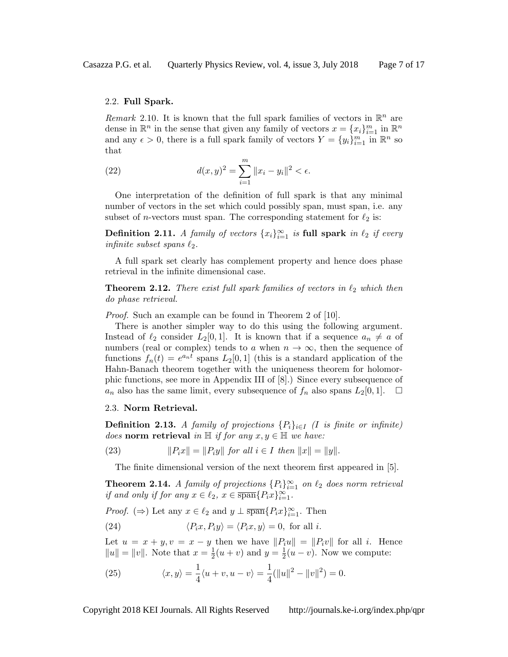## 2.2. Full Spark.

Remark 2.10. It is known that the full spark families of vectors in  $\mathbb{R}^n$  are dense in  $\mathbb{R}^n$  in the sense that given any family of vectors  $x = \{x_i\}_{i=1}^m$  in  $\mathbb{R}^n$ and any  $\epsilon > 0$ , there is a full spark family of vectors  $Y = \{y_i\}_{i=1}^m$  in  $\mathbb{R}^n$  so that

(22) 
$$
d(x,y)^2 = \sum_{i=1}^m \|x_i - y_i\|^2 < \epsilon.
$$

One interpretation of the definition of full spark is that any minimal number of vectors in the set which could possibly span, must span, i.e. any subset of *n*-vectors must span. The corresponding statement for  $\ell_2$  is:

Definition 2.11. A family of vectors  $\{x_i\}_{i=1}^{\infty}$  is full spark in  $\ell_2$  if every infinite subset spans  $\ell_2$ .

A full spark set clearly has complement property and hence does phase retrieval in the infinite dimensional case.

**Theorem 2.12.** There exist full spark families of vectors in  $\ell_2$  which then do phase retrieval.

Proof. Such an example can be found in Theorem 2 of [10].

There is another simpler way to do this using the following argument. Instead of  $\ell_2$  consider  $L_2[0, 1]$ . It is known that if a sequence  $a_n \neq a$  of numbers (real or complex) tends to a when  $n \to \infty$ , then the sequence of functions  $f_n(t) = e^{a_n t}$  spans  $L_2[0,1]$  (this is a standard application of the Hahn-Banach theorem together with the uniqueness theorem for holomorphic functions, see more in Appendix III of [8].) Since every subsequence of  $a_n$  also has the same limit, every subsequence of  $f_n$  also spans  $L_2[0,1]$ .  $\Box$ 

# 2.3. Norm Retrieval.

**Definition 2.13.** A family of projections  $\{P_i\}_{i\in I}$  (I is finite or infinite) does norm retrieval in  $\mathbb H$  if for any  $x, y \in \mathbb H$  we have:

(23)  $||P_ix|| = ||P_iy||$  for all  $i \in I$  then  $||x|| = ||y||$ .

The finite dimensional version of the next theorem first appeared in [5].

**Theorem 2.14.** A family of projections  ${P_i}_{i=1}^{\infty}$  on  $\ell_2$  does norm retrieval if and only if for any  $x \in \ell_2$ ,  $x \in \overline{\text{span}}\{P_ix\}_{i=1}^{\infty}$ .

*Proof.* ( $\Rightarrow$ ) Let any  $x \in \ell_2$  and  $y \perp \overline{\text{span}}\{P_ix\}_{i=1}^{\infty}$ . Then

(24) 
$$
\langle P_i x, P_i y \rangle = \langle P_i x, y \rangle = 0, \text{ for all } i.
$$

Let  $u = x + y$ ,  $v = x - y$  then we have  $||P_iu|| = ||P_iv||$  for all i. Hence  $||u|| = ||v||$ . Note that  $x = \frac{1}{2}$  $\frac{1}{2}(u+v)$  and  $y=\frac{1}{2}$  $\frac{1}{2}(u-v)$ . Now we compute:

(25) 
$$
\langle x, y \rangle = \frac{1}{4} \langle u + v, u - v \rangle = \frac{1}{4} (||u||^2 - ||v||^2) = 0.
$$

Copyright 2018 KEI Journals. All Rights Reserved http://journals.ke-i.org/index.php/qpr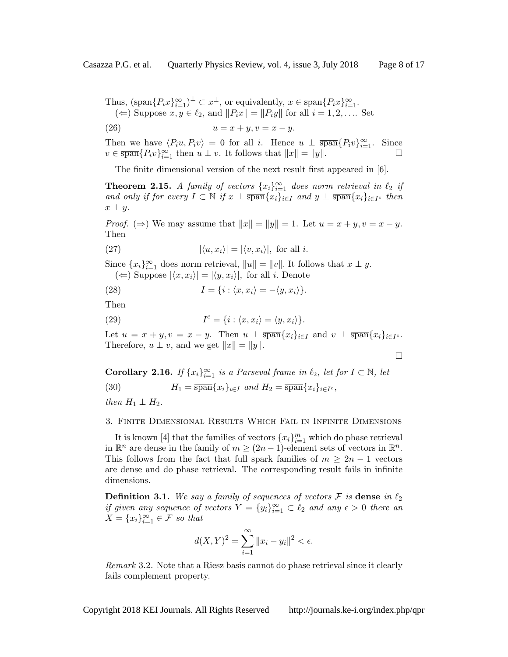$\Box$ 

Thus,  $(\overline{\operatorname{span}}\{P_ix\}_{i=1}^{\infty})^{\perp} \subset x^{\perp}$ , or equivalently,  $x \in \overline{\operatorname{span}}\{P_ix\}_{i=1}^{\infty}$ . (←) Suppose  $x, y \in \ell_2$ , and  $||P_ix|| = ||P_iy||$  for all  $i = 1, 2, \ldots$  Set

$$
(26) \qquad \qquad u = x + y, v = x - y.
$$

Then we have  $\langle P_i u, P_i v \rangle = 0$  for all i. Hence  $u \perp \overline{\text{span}} \{P_i v\}_{i=1}^{\infty}$ . Since  $v \in \overline{\text{span}}\{P_i v\}_{i=1}^{\infty}$  then  $u \perp v$ . It follows that  $||x|| = ||y||$ .

The finite dimensional version of the next result first appeared in [6].

**Theorem 2.15.** A family of vectors  $\{x_i\}_{i=1}^{\infty}$  does norm retrieval in  $\ell_2$  if and only if for every  $I \subset \mathbb{N}$  if  $x \perp \overline{\text{span}}\{x_i\}_{i \in I}$  and  $y \perp \overline{\text{span}}\{x_i\}_{i \in I^c}$  then  $x \perp y$ .

*Proof.* ( $\Rightarrow$ ) We may assume that  $||x|| = ||y|| = 1$ . Let  $u = x + y$ ,  $v = x - y$ . Then

(27) 
$$
|\langle u, x_i \rangle| = |\langle v, x_i \rangle|, \text{ for all } i.
$$

Since  $\{x_i\}_{i=1}^{\infty}$  does norm retrieval,  $||u|| = ||v||$ . It follows that  $x \perp y$ .  $(\Leftarrow)$  Suppose  $|\langle x, x_i \rangle| = |\langle y, x_i \rangle|$ , for all i. Denote

(28) 
$$
I = \{i : \langle x, x_i \rangle = -\langle y, x_i \rangle\}.
$$

Then

(29) 
$$
I^{c} = \{i : \langle x, x_{i} \rangle = \langle y, x_{i} \rangle\}.
$$

Let  $u = x + y, v = x - y$ . Then  $u \perp \overline{\text{span}}\{x_i\}_{i \in I}$  and  $v \perp \overline{\text{span}}\{x_i\}_{i \in I^c}$ . Therefore,  $u \perp v$ , and we get  $||x|| = ||y||$ .

Corollary 2.16. If  $\{x_i\}_{i=1}^{\infty}$  is a Parseval frame in  $\ell_2$ , let for  $I \subset \mathbb{N}$ , let (30)  $H_1 = \overline{\text{span}}\{x_i\}_{i \in I} \text{ and } H_2 = \overline{\text{span}}\{x_i\}_{i \in I^c},$ 

then  $H_1 \perp H_2$ .

# 3. Finite Dimensional Results Which Fail in Infinite Dimensions

It is known [4] that the families of vectors  ${x_i}_{i=1}^m$  which do phase retrieval in  $\mathbb{R}^n$  are dense in the family of  $m \geq (2n-1)$ -element sets of vectors in  $\mathbb{R}^n$ . This follows from the fact that full spark families of  $m \geq 2n - 1$  vectors are dense and do phase retrieval. The corresponding result fails in infinite dimensions.

**Definition 3.1.** We say a family of sequences of vectors  $\mathcal F$  is **dense** in  $\ell_2$ if given any sequence of vectors  $Y = \{y_i\}_{i=1}^{\infty} \subset \ell_2$  and any  $\epsilon > 0$  there an  $X = \{x_i\}_{i=1}^{\infty} \in \mathcal{F}$  so that

$$
d(X,Y)^{2} = \sum_{i=1}^{\infty} ||x_{i} - y_{i}||^{2} < \epsilon.
$$

Remark 3.2. Note that a Riesz basis cannot do phase retrieval since it clearly fails complement property.

Copyright 2018 KEI Journals. All Rights Reserved http://journals.ke-i.org/index.php/qpr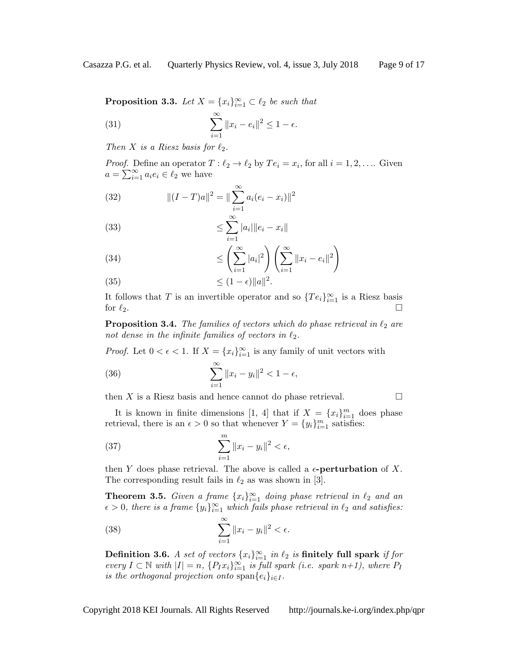**Proposition 3.3.** Let  $X = \{x_i\}_{i=1}^{\infty} \subset \ell_2$  be such that

(31) 
$$
\sum_{i=1}^{\infty} ||x_i - e_i||^2 \le 1 - \epsilon.
$$

Then X is a Riesz basis for  $\ell_2$ .

*Proof.* Define an operator  $T : \ell_2 \to \ell_2$  by  $Te_i = x_i$ , for all  $i = 1, 2, \ldots$  Given  $a = \sum_{i=1}^{\infty} a_i e_i \in \ell_2$  we have

(32) 
$$
\| (I - T)a \|^2 = \|\sum_{i=1}^{\infty} a_i (e_i - x_i) \|^2
$$

(33) 
$$
\leq \sum_{i=1}^{\infty} |a_i| \|e_i - x_i\|
$$

(34)  

$$
\leq \left(\sum_{i=1}^{\infty} |a_i|^2\right) \left(\sum_{i=1}^{\infty} ||x_i - e_i||^2\right)
$$

$$
\leq (1 - \epsilon) ||a||^2
$$

≤ (1 − )kak (35) .

It follows that T is an invertible operator and so  $\{Te_i\}_{i=1}^{\infty}$  is a Riesz basis for  $\ell_2$ .

**Proposition 3.4.** The families of vectors which do phase retrieval in  $\ell_2$  are not dense in the infinite families of vectors in  $\ell_2$ .

*Proof.* Let  $0 < \epsilon < 1$ . If  $X = \{x_i\}_{i=1}^{\infty}$  is any family of unit vectors with

(36) 
$$
\sum_{i=1}^{\infty} ||x_i - y_i||^2 < 1 - \epsilon,
$$

then X is a Riesz basis and hence cannot do phase retrieval.  $\Box$ 

It is known in finite dimensions [1, 4] that if  $X = \{x_i\}_{i=1}^m$  does phase retrieval, there is an  $\epsilon > 0$  so that whenever  $Y = \{y_i\}_{i=1}^m$  satisfies:

(37) 
$$
\sum_{i=1}^{m} ||x_i - y_i||^2 < \epsilon,
$$

then Y does phase retrieval. The above is called a  $\epsilon$ -**perturbation** of X. The corresponding result fails in  $\ell_2$  as was shown in [3].

**Theorem 3.5.** Given a frame  $\{x_i\}_{i=1}^{\infty}$  doing phase retrieval in  $\ell_2$  and an  $\epsilon > 0$ , there is a frame  $\{y_i\}_{i=1}^{\infty}$  which fails phase retrieval in  $\ell_2$  and satisfies:

(38) 
$$
\sum_{i=1}^{\infty} ||x_i - y_i||^2 < \epsilon.
$$

Definition 3.6. A set of vectors  $\{x_i\}_{i=1}^{\infty}$  in  $\ell_2$  is finitely full spark if for every  $I \subset \mathbb{N}$  with  $|I| = n$ ,  $\{P_I x_i\}_{i=1}^{\infty}$  is full spark (i.e. spark  $n+1$ ), where  $P_I$ is the orthogonal projection onto span $\{e_i\}_{i\in I}$ .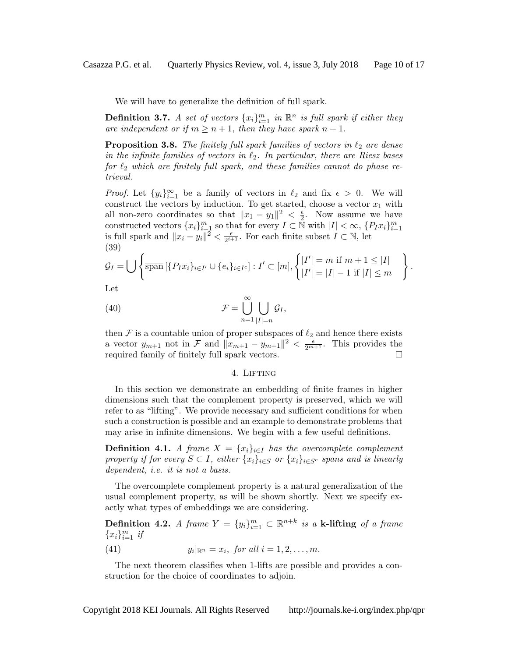We will have to generalize the definition of full spark.

**Definition 3.7.** A set of vectors  $\{x_i\}_{i=1}^m$  in  $\mathbb{R}^n$  is full spark if either they are independent or if  $m \geq n+1$ , then they have spark  $n+1$ .

**Proposition 3.8.** The finitely full spark families of vectors in  $\ell_2$  are dense in the infinite families of vectors in  $\ell_2$ . In particular, there are Riesz bases for  $\ell_2$  which are finitely full spark, and these families cannot do phase retrieval.

*Proof.* Let  $\{y_i\}_{i=1}^{\infty}$  be a family of vectors in  $\ell_2$  and fix  $\epsilon > 0$ . We will construct the vectors by induction. To get started, choose a vector  $x_1$  with all non-zero coordinates so that  $||x_1 - y_1||^2 < \frac{\epsilon}{2}$  $\frac{\epsilon}{2}$ . Now assume we have constructed vectors  $\{x_i\}_{i=1}^m$  so that for every  $I \subset \tilde{N}$  with  $|I| < \infty$ ,  $\{Px_i\}_{i=1}^m$  is full spark and  $||x_i - y_i||^2 < \frac{\epsilon}{2^{i+1}}$ . For each finite subset  $I \subset \tilde{N}$ , let  $\frac{\epsilon}{2^{i+1}}$ . For each finite subset  $I \subset \mathbb{N}$ , let (39)

$$
\mathcal{G}_I = \bigcup \left\{ \overline{\text{span}} \left[ \{ P_I x_i \}_{i \in I'} \cup \{ e_i \}_{i \in I^c} \right] : I' \subset [m], \left\{ |I'| = m \text{ if } m+1 \leq |I| \\ |I'| = |I| - 1 \text{ if } |I| \leq m \right\} \right\}.
$$

Let

(40) 
$$
\mathcal{F} = \bigcup_{n=1}^{\infty} \bigcup_{|I|=n} \mathcal{G}_I,
$$

then  $\mathcal F$  is a countable union of proper subspaces of  $\ell_2$  and hence there exists a vector  $y_{m+1}$  not in F and  $||x_{m+1} - y_{m+1}||^2 < \frac{\epsilon}{2^{m+1}}$ . This provides the required family of finitely full spark vectors.  $\Box$ 

### 4. LIFTING

In this section we demonstrate an embedding of finite frames in higher dimensions such that the complement property is preserved, which we will refer to as "lifting". We provide necessary and sufficient conditions for when such a construction is possible and an example to demonstrate problems that may arise in infinite dimensions. We begin with a few useful definitions.

**Definition 4.1.** A frame  $X = \{x_i\}_{i \in I}$  has the overcomplete complement property if for every  $S \subset I$ , either  $\{x_i\}_{i \in S}$  or  $\{x_i\}_{i \in S^c}$  spans and is linearly dependent, *i.e.* it is not a basis.

The overcomplete complement property is a natural generalization of the usual complement property, as will be shown shortly. Next we specify exactly what types of embeddings we are considering.

**Definition 4.2.** A frame  $Y = \{y_i\}_{i=1}^m \subset \mathbb{R}^{n+k}$  is a k-lifting of a frame  ${x_i}_{i=1}^m$  if

 $(41)$  $|_{\mathbb{R}^n} = x_i$ , for all  $i = 1, 2, \ldots, m$ .

The next theorem classifies when 1-lifts are possible and provides a construction for the choice of coordinates to adjoin.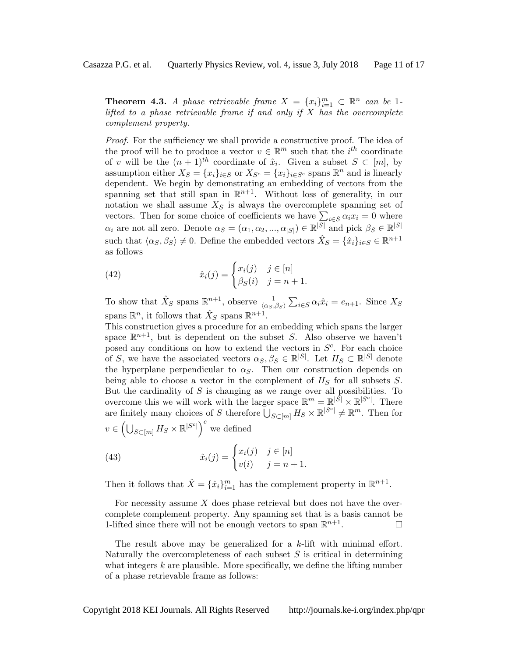**Theorem 4.3.** A phase retrievable frame  $X = \{x_i\}_{i=1}^m \subset \mathbb{R}^n$  can be 1lifted to a phase retrievable frame if and only if  $X$  has the overcomplete complement property.

Proof. For the sufficiency we shall provide a constructive proof. The idea of the proof will be to produce a vector  $v \in \mathbb{R}^m$  such that the  $i^{th}$  coordinate of v will be the  $(n+1)^{th}$  coordinate of  $\hat{x}_i$ . Given a subset  $S \subset [m]$ , by assumption either  $X_S = \{x_i\}_{i \in S}$  or  $X_{S^c} = \{x_i\}_{i \in S^c}$  spans  $\mathbb{R}^n$  and is linearly dependent. We begin by demonstrating an embedding of vectors from the spanning set that still span in  $\mathbb{R}^{n+1}$ . Without loss of generality, in our notation we shall assume  $X<sub>S</sub>$  is always the overcomplete spanning set of vectors. Then for some choice of coefficients we have  $\sum_{i \in S} \alpha_i x_i = 0$  where  $\alpha_i$  are not all zero. Denote  $\alpha_S = (\alpha_1, \alpha_2, ..., \alpha_{|S|}) \in \mathbb{R}^{|S|}$  and pick  $\beta_S \in \mathbb{R}^{|S|}$ such that  $\langle \alpha_S, \beta_S \rangle \neq 0$ . Define the embedded vectors  $\hat{X}_S = \{\hat{x}_i\}_{i \in S} \in \mathbb{R}^{n+1}$ as follows

(42) 
$$
\hat{x}_i(j) = \begin{cases} x_i(j) & j \in [n] \\ \beta_S(i) & j = n+1. \end{cases}
$$

To show that  $\hat{X}_S$  spans  $\mathbb{R}^{n+1}$ , observe  $\frac{1}{\langle \alpha_S, \beta_S \rangle} \sum_{i \in S} \alpha_i \hat{x}_i = e_{n+1}$ . Since  $X_S$ spans  $\mathbb{R}^n$ , it follows that  $\hat{X}_S$  spans  $\mathbb{R}^{n+1}$ .

This construction gives a procedure for an embedding which spans the larger space  $\mathbb{R}^{n+1}$ , but is dependent on the subset S. Also observe we haven't posed any conditions on how to extend the vectors in  $S<sup>c</sup>$ . For each choice of S, we have the associated vectors  $\alpha_S, \beta_S \in \mathbb{R}^{|S|}$ . Let  $H_S \subset \mathbb{R}^{|S|}$  denote the hyperplane perpendicular to  $\alpha_S$ . Then our construction depends on being able to choose a vector in the complement of  $H<sub>S</sub>$  for all subsets S. But the cardinality of  $S$  is changing as we range over all possibilities. To overcome this we will work with the larger space  $\mathbb{R}^m = \mathbb{R}^{|\hat{S}|} \times \mathbb{R}^{|S^c|}$ . There are finitely many choices of S therefore  $\bigcup_{S\subset [m]} H_S \times \mathbb{R}^{|S^c|} \neq \mathbb{R}^m$ . Then for  $v \in \left(\bigcup_{S \subset [m]} H_S \times \mathbb{R}^{|S^c|}\right)^c$  we defined

(43) 
$$
\hat{x}_i(j) = \begin{cases} x_i(j) & j \in [n] \\ v(i) & j = n+1. \end{cases}
$$

Then it follows that  $\hat{X} = \{\hat{x}_i\}_{i=1}^m$  has the complement property in  $\mathbb{R}^{n+1}$ .

For necessity assume  $X$  does phase retrieval but does not have the overcomplete complement property. Any spanning set that is a basis cannot be 1-lifted since there will not be enough vectors to span  $\mathbb{R}^{n+1}$ . — Первый проста в сервести в сервести в сервести в сервести в сервести в сервести в сервести в сервести в се<br>В сервести в сервести в сервести в сервести в сервести в сервести в сервести в сервести в сервести в сервести<br>

The result above may be generalized for a k-lift with minimal effort. Naturally the overcompleteness of each subset  $S$  is critical in determining what integers  $k$  are plausible. More specifically, we define the lifting number of a phase retrievable frame as follows: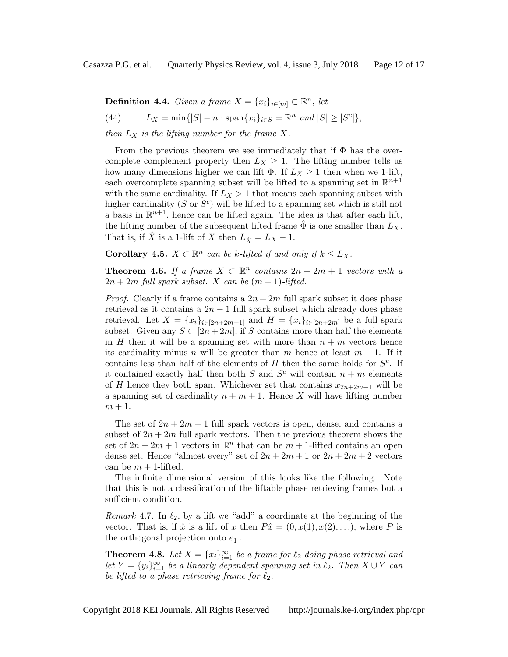**Definition 4.4.** Given a frame  $X = \{x_i\}_{i \in [m]} \subset \mathbb{R}^n$ , let (44)  $L_X = \min\{|S| - n : \text{span}\{x_i\}_{i \in S} = \mathbb{R}^n \text{ and } |S| \geq |S^c|\},$ 

$$
\mu_1 = \mu_2 = \min_{\{|\nu| \leq \ell \leq \nu\}} \mu_1 \sup_{\{|\nu|\leq \nu\}} \mu_2 \sup_{\{|\nu|\leq \nu\}} \mu_3
$$

then  $L_X$  is the lifting number for the frame X.

From the previous theorem we see immediately that if  $\Phi$  has the overcomplete complement property then  $L_X \geq 1$ . The lifting number tells us how many dimensions higher we can lift  $\Phi$ . If  $L_X \geq 1$  then when we 1-lift, each overcomplete spanning subset will be lifted to a spanning set in  $\mathbb{R}^{n+1}$ with the same cardinality. If  $L_X > 1$  that means each spanning subset with higher cardinality (S or  $S<sup>c</sup>$ ) will be lifted to a spanning set which is still not a basis in  $\mathbb{R}^{n+1}$ , hence can be lifted again. The idea is that after each lift, the lifting number of the subsequent lifted frame  $\hat{\Phi}$  is one smaller than  $L_X$ . That is, if X is a 1-lift of X then  $L_{\hat{X}} = L_X - 1$ .

**Corollary 4.5.**  $X \subset \mathbb{R}^n$  can be k-lifted if and only if  $k \leq L_X$ .

**Theorem 4.6.** If a frame  $X \subset \mathbb{R}^n$  contains  $2n + 2m + 1$  vectors with a  $2n + 2m$  full spark subset. X can be  $(m + 1)$ -lifted.

*Proof.* Clearly if a frame contains a  $2n + 2m$  full spark subset it does phase retrieval as it contains a  $2n - 1$  full spark subset which already does phase retrieval. Let  $X = \{x_i\}_{i\in [2n+2m+1]}$  and  $H = \{x_i\}_{i\in [2n+2m]}$  be a full spark subset. Given any  $S \subset [2n+2m]$ , if S contains more than half the elements in H then it will be a spanning set with more than  $n + m$  vectors hence its cardinality minus n will be greater than m hence at least  $m + 1$ . If it contains less than half of the elements of  $H$  then the same holds for  $S<sup>c</sup>$ . If it contained exactly half then both  $S$  and  $S<sup>c</sup>$  will contain  $n + m$  elements of H hence they both span. Whichever set that contains  $x_{2n+2m+1}$  will be a spanning set of cardinality  $n + m + 1$ . Hence X will have lifting number  $m+1$ .

The set of  $2n + 2m + 1$  full spark vectors is open, dense, and contains a subset of  $2n + 2m$  full spark vectors. Then the previous theorem shows the set of  $2n + 2m + 1$  vectors in  $\mathbb{R}^n$  that can be  $m + 1$ -lifted contains an open dense set. Hence "almost every" set of  $2n + 2m + 1$  or  $2n + 2m + 2$  vectors can be  $m + 1$ -lifted.

The infinite dimensional version of this looks like the following. Note that this is not a classification of the liftable phase retrieving frames but a sufficient condition.

Remark 4.7. In  $\ell_2$ , by a lift we "add" a coordinate at the beginning of the vector. That is, if  $\hat{x}$  is a lift of x then  $P\hat{x} = (0, x(1), x(2), \ldots)$ , where P is the orthogonal projection onto  $e_1^{\perp}$ .

**Theorem 4.8.** Let  $X = \{x_i\}_{i=1}^{\infty}$  be a frame for  $\ell_2$  doing phase retrieval and let  $Y = \{y_i\}_{i=1}^{\infty}$  be a linearly dependent spanning set in  $\ell_2$ . Then  $X \cup Y$  can be lifted to a phase retrieving frame for  $\ell_2$ .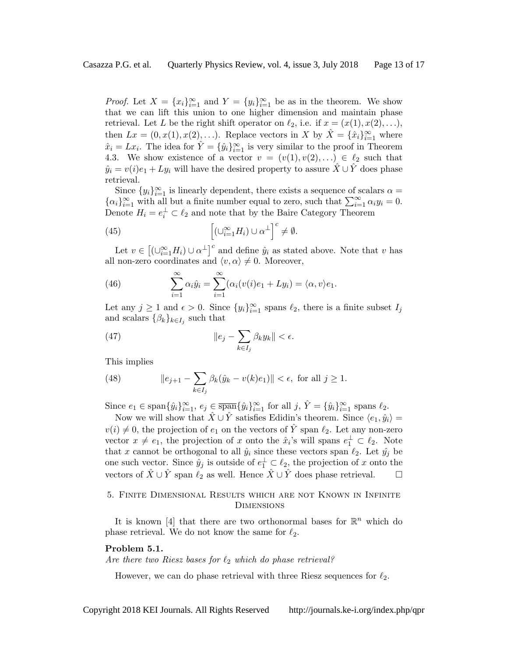*Proof.* Let  $X = \{x_i\}_{i=1}^{\infty}$  and  $Y = \{y_i\}_{i=1}^{\infty}$  be as in the theorem. We show that we can lift this union to one higher dimension and maintain phase retrieval. Let L be the right shift operator on  $\ell_2$ , i.e. if  $x = (x(1), x(2), \ldots),$ then  $Lx = (0, x(1), x(2), \ldots)$ . Replace vectors in X by  $\hat{X} = \{\hat{x}_i\}_{i=1}^{\infty}$  where  $\hat{x}_i = Lx_i$ . The idea for  $\hat{Y} = \{\hat{y}_i\}_{i=1}^{\infty}$  is very similar to the proof in Theorem 4.3. We show existence of a vector  $v = (v(1), v(2), ...) \in \ell_2$  such that  $\hat{y}_i = v(i)e_1 + Ly_i$  will have the desired property to assure  $\hat{X} \cup \hat{Y}$  does phase retrieval.

Since  $\{y_i\}_{i=1}^{\infty}$  is linearly dependent, there exists a sequence of scalars  $\alpha =$  $\{\alpha_i\}_{i=1}^{\infty}$  with all but a finite number equal to zero, such that  $\sum_{i=1}^{\infty} \alpha_i y_i = 0$ . Denote  $H_i = e_i^{\perp} \subset \ell_2$  and note that by the Baire Category Theorem

(45) 
$$
\left[ (\cup_{i=1}^{\infty} H_i) \cup \alpha^{\perp} \right]^c \neq \emptyset.
$$

Let  $v \in [(\cup_{i=1}^{\infty} H_i) \cup \alpha^{\perp}]^c$  and define  $\hat{y}_i$  as stated above. Note that v has all non-zero coordinates and  $\langle v, \alpha \rangle \neq 0$ . Moreover,

(46) 
$$
\sum_{i=1}^{\infty} \alpha_i \hat{y}_i = \sum_{i=1}^{\infty} (\alpha_i (v(i)e_1 + Ly_i) = \langle \alpha, v \rangle e_1.
$$

Let any  $j \geq 1$  and  $\epsilon > 0$ . Since  $\{y_i\}_{i=1}^{\infty}$  spans  $\ell_2$ , there is a finite subset  $I_j$ and scalars  $\{\beta_k\}_{k\in I_j}$  such that

(47) 
$$
\|e_j - \sum_{k \in I_j} \beta_k y_k\| < \epsilon.
$$

This implies

(48) 
$$
||e_{j+1} - \sum_{k \in I_j} \beta_k (\hat{y}_k - v(k)e_1)|| < \epsilon, \text{ for all } j \ge 1.
$$

Since  $e_1 \in \text{span}\{\hat{y}_i\}_{i=1}^{\infty}$ ,  $e_j \in \overline{\text{span}}\{\hat{y}_i\}_{i=1}^{\infty}$  for all  $j, \hat{Y} = \{\hat{y}_i\}_{i=1}^{\infty}$  spans  $\ell_2$ .

Now we will show that  $\hat{X} \cup \hat{Y}$  satisfies Edidin's theorem. Since  $\langle e_1, \hat{y}_i \rangle =$  $v(i) \neq 0$ , the projection of  $e_1$  on the vectors of  $\hat{Y}$  span  $\ell_2$ . Let any non-zero vector  $x \neq e_1$ , the projection of x onto the  $\hat{x}_i$ 's will spans  $e_1^{\perp} \subset \ell_2$ . Note that x cannot be orthogonal to all  $\hat{y}_i$  since these vectors span  $\ell_2$ . Let  $\hat{y}_j$  be one such vector. Since  $\hat{y}_j$  is outside of  $e_1^{\perp} \subset \ell_2$ , the projection of x onto the vectors of  $\hat{X} \cup \hat{Y}$  span  $\ell_2$  as well. Hence  $\hat{X} \cup \hat{Y}$  does phase retrieval.  $\Box$ 

# 5. Finite Dimensional Results which are not Known in Infinite **DIMENSIONS**

It is known [4] that there are two orthonormal bases for  $\mathbb{R}^n$  which do phase retrieval. We do not know the same for  $\ell_2$ .

# Problem 5.1.

Are there two Riesz bases for  $\ell_2$  which do phase retrieval?

However, we can do phase retrieval with three Riesz sequences for  $\ell_2$ .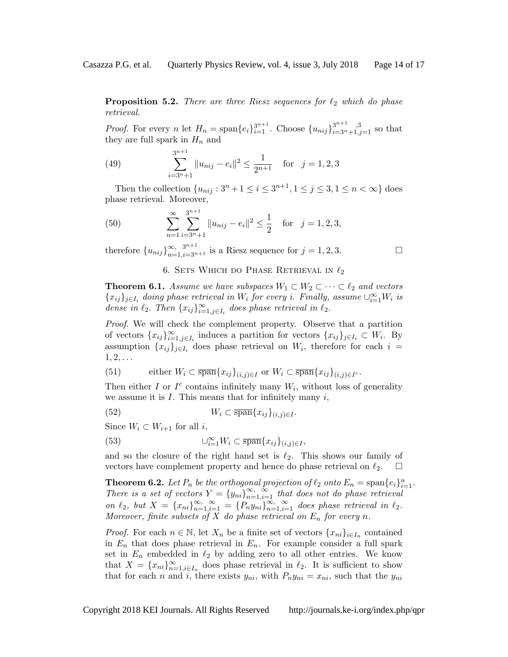**Proposition 5.2.** There are three Riesz sequences for  $\ell_2$  which do phase retrieval.

*Proof.* For every n let  $H_n = \text{span}\{e_i\}_{i=1}^{3^{n+1}}$ . Choose  $\{u_{nij}\}_{i=3^{n+1},j=1}^{3^{n+1}}$  so that they are full spark in  $H_n$  and

(49) 
$$
\sum_{i=3^{n}+1}^{3^{n+1}} \|u_{nij} - e_i\|^2 \le \frac{1}{2^{n+1}} \quad \text{for} \quad j = 1, 2, 3
$$

Then the collection  $\{u_{nij}: 3^n+1 \le i \le 3^{n+1}, 1 \le j \le 3, 1 \le n < \infty\}$  does phase retrieval. Moreover,

(50) 
$$
\sum_{n=1}^{\infty} \sum_{i=3^n+1}^{3^{n+1}} ||u_{nij} - e_i||^2 \le \frac{1}{2} \text{ for } j = 1, 2, 3,
$$

therefore  ${u_{nij}}_{n=1,i=3^{n+1}}^{\infty, 3^{n+1}}$  is a Riesz sequence for  $j=1,2,3$ .

# 6. SETS WHICH DO PHASE RETRIEVAL IN  $\ell_2$

**Theorem 6.1.** Assume we have subspaces  $W_1 \subset W_2 \subset \cdots \subset \ell_2$  and vectors  ${x_{ij}}_{j \in I_i}$  doing phase retrieval in  $W_i$  for every i. Finally, assume  $\cup_{i=1}^{\infty} W_i$  is dense in  $\ell_2$ . Then  $\{x_{ij}\}_{i=1,j\in I_i}^{\infty}$  does phase retrieval in  $\ell_2$ .

Proof. We will check the complement property. Observe that a partition of vectors  $\{x_{ij}\}_{i=1,j\in I_i}^{\infty}$  induces a partition for vectors  $\{x_{ij}\}_{j\in I_i} \subset W_i$ . By assumption  $\{x_{ij}\}_{j\in I_i}$  does phase retrieval on  $W_i$ , therefore for each  $i =$  $1, 2, \ldots$ 

(51) either  $W_i \subset \overline{\text{span}}\{x_{ij}\}_{(i,j)\in I}$  or  $W_i \subset \overline{\text{span}}\{x_{ij}\}_{(i,j)\in I^c}$ .

Then either I or  $I^c$  contains infinitely many  $W_i$ , without loss of generality we assume it is  $I$ . This means that for infinitely many  $i$ ,

(52) 
$$
W_i \subset \overline{\text{span}}\{x_{ij}\}_{(i,j)\in I}.
$$

Since  $W_i \subset W_{i+1}$  for all i,

(53) 
$$
\bigcup_{i=1}^{\infty} W_i \subset \overline{\text{span}}\{x_{ij}\}_{(i,j)\in I},
$$

and so the closure of the right hand set is  $\ell_2$ . This shows our family of vectors have complement property and hence do phase retrieval on  $\ell_2$ .

**Theorem 6.2.** Let  $P_n$  be the orthogonal projection of  $\ell_2$  onto  $E_n = \text{span}\{e_i\}_{i=1}^n$ . There is a set of vectors  $Y = \{y_{ni}\}_{n=1,i=1}^{\infty}$ , that does not do phase retrieval on  $\ell_2$ , but  $X = \{x_{ni}\}_{n=1,i=1}^{\infty} = \{P_n y_{ni}\}_{n=1,i=1}^{\infty}$  does phase retrieval in  $\ell_2$ . Moreover, finite subsets of X do phase retrieval on  $E_n$  for every n.

*Proof.* For each  $n \in \mathbb{N}$ , let  $X_n$  be a finite set of vectors  $\{x_{ni}\}_{i \in I_n}$  contained in  $E_n$  that does phase retrieval in  $E_n$ . For example consider a full spark set in  $E_n$  embedded in  $\ell_2$  by adding zero to all other entries. We know that  $X = \{x_{ni}\}_{n=1,i\in I_n}^{\infty}$  does phase retrieval in  $\ell_2$ . It is sufficient to show that for each n and i, there exists  $y_{ni}$ , with  $P_n y_{ni} = x_{ni}$ , such that the  $y_{ni}$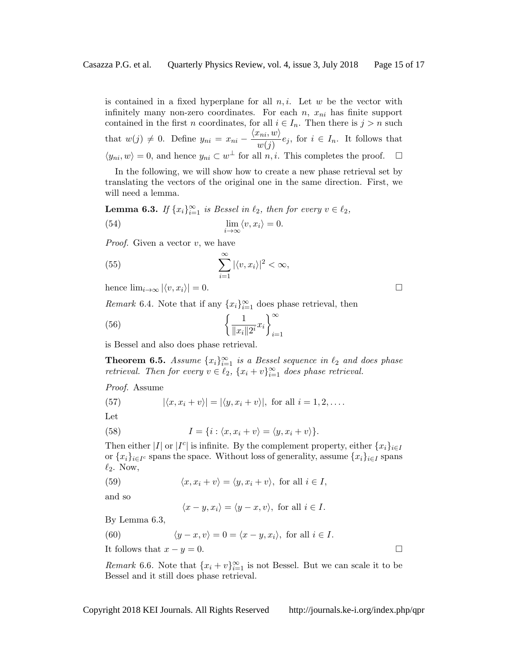is contained in a fixed hyperplane for all  $n, i$ . Let w be the vector with infinitely many non-zero coordinates. For each  $n$ ,  $x_{ni}$  has finite support contained in the first n coordinates, for all  $i \in I_n$ . Then there is  $j > n$  such that  $w(j) \neq 0$ . Define  $y_{ni} = x_{ni} - \frac{\langle x_{ni}, w \rangle}{\langle x_{ni}, y \rangle}$  $\frac{w_{ni}, w'}{w(j)} e_j$ , for  $i \in I_n$ . It follows that  $\langle y_{ni}, w \rangle = 0$ , and hence  $y_{ni} \subset w^{\perp}$  for all  $n, i$ . This completes the proof.  $\Box$ 

In the following, we will show how to create a new phase retrieval set by translating the vectors of the original one in the same direction. First, we will need a lemma.

**Lemma 6.3.** If  $\{x_i\}_{i=1}^{\infty}$  is Bessel in  $\ell_2$ , then for every  $v \in \ell_2$ , (54)  $\lim_{i \to \infty} \langle v, x_i \rangle = 0.$ 

*Proof.* Given a vector  $v$ , we have

(55) 
$$
\sum_{i=1}^{\infty} |\langle v, x_i \rangle|^2 < \infty,
$$

hence  $\lim_{i\to\infty} |\langle v, x_i\rangle| = 0.$ 

*Remark* 6.4. Note that if any  $\{x_i\}_{i=1}^{\infty}$  does phase retrieval, then

(56) 
$$
\left\{\frac{1}{\|x_i\|2^i}x_i\right\}_{i=1}^{\infty}
$$

is Bessel and also does phase retrieval.

**Theorem 6.5.** Assume  $\{x_i\}_{i=1}^{\infty}$  is a Bessel sequence in  $\ell_2$  and does phase retrieval. Then for every  $v \in \ell_2$ ,  $\{x_i + v\}_{i=1}^{\infty}$  does phase retrieval.

Proof. Assume

(57)  $|\langle x, x_i + v \rangle| = |\langle y, x_i + v \rangle|$ , for all  $i = 1, 2, \dots$ .

Let

(58) 
$$
I = \{i : \langle x, x_i + v \rangle = \langle y, x_i + v \rangle\}.
$$

Then either |I| or |I<sup>c</sup>| is infinite. By the complement property, either  $\{x_i\}_{i\in I}$ or  $\{x_i\}_{i\in I^c}$  spans the space. Without loss of generality, assume  $\{x_i\}_{i\in I}$  spans  $\ell_2$ . Now,

(59) 
$$
\langle x, x_i + v \rangle = \langle y, x_i + v \rangle, \text{ for all } i \in I,
$$

and so

$$
\langle x - y, x_i \rangle = \langle y - x, v \rangle, \text{ for all } i \in I.
$$

By Lemma 6.3,

(60) 
$$
\langle y - x, v \rangle = 0 = \langle x - y, x_i \rangle, \text{ for all } i \in I.
$$

It follows that  $x - y = 0$ .

*Remark* 6.6. Note that  $\{x_i + v\}_{i=1}^{\infty}$  is not Bessel. But we can scale it to be Bessel and it still does phase retrieval.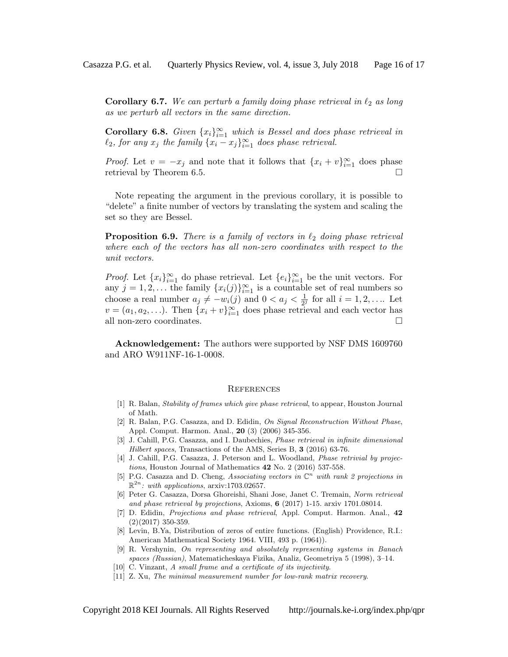**Corollary 6.7.** We can perturb a family doing phase retrieval in  $\ell_2$  as long as we perturb all vectors in the same direction.

**Corollary 6.8.** Given  $\{x_i\}_{i=1}^{\infty}$  which is Bessel and does phase retrieval in  $\ell_2$ , for any  $x_j$  the family  $\{x_i - x_j\}_{i=1}^{\infty}$  does phase retrieval.

*Proof.* Let  $v = -x_j$  and note that it follows that  $\{x_i + v\}_{i=1}^{\infty}$  does phase retrieval by Theorem 6.5.

Note repeating the argument in the previous corollary, it is possible to "delete" a finite number of vectors by translating the system and scaling the set so they are Bessel.

**Proposition 6.9.** There is a family of vectors in  $\ell_2$  doing phase retrieval where each of the vectors has all non-zero coordinates with respect to the unit vectors.

*Proof.* Let  $\{x_i\}_{i=1}^{\infty}$  do phase retrieval. Let  $\{e_i\}_{i=1}^{\infty}$  be the unit vectors. For any  $j = 1, 2, \ldots$  the family  $\{x_i(j)\}_{i=1}^{\infty}$  is a countable set of real numbers so choose a real number  $a_j \neq -w_i(j)$  and  $0 < a_j < \frac{1}{2i}$  $\frac{1}{2^j}$  for all  $i = 1, 2, \ldots$  Let  $v = (a_1, a_2, \ldots)$ . Then  $\{x_i + v\}_{i=1}^{\infty}$  does phase retrieval and each vector has all non-zero coordinates.  $\square$ 

Acknowledgement: The authors were supported by NSF DMS 1609760 and ARO W911NF-16-1-0008.

#### **REFERENCES**

- [1] R. Balan, Stability of frames which give phase retrieval, to appear, Houston Journal of Math.
- [2] R. Balan, P.G. Casazza, and D. Edidin, On Signal Reconstruction Without Phase, Appl. Comput. Harmon. Anal., 20 (3) (2006) 345-356.
- [3] J. Cahill, P.G. Casazza, and I. Daubechies, Phase retrieval in infinite dimensional Hilbert spaces, Transactions of the AMS, Series B, 3 (2016) 63-76.
- [4] J. Cahill, P.G. Casazza, J. Peterson and L. Woodland, Phase retrivial by projections, Houston Journal of Mathematics 42 No. 2 (2016) 537-558.
- [5] P.G. Casazza and D. Cheng, Associating vectors in  $\mathbb{C}^n$  with rank 2 projections in  $\mathbb{R}^{2n}$ : with applications, arxiv:1703.02657.
- [6] Peter G. Casazza, Dorsa Ghoreishi, Shani Jose, Janet C. Tremain, Norm retrieval and phase retrieval by projections, Axioms,  $6$  (2017) 1-15. arxiv 1701.08014.
- [7] D. Edidin, Projections and phase retrieval, Appl. Comput. Harmon. Anal., 42 (2)(2017) 350-359.
- [8] Levin, B.Ya, Distribution of zeros of entire functions. (English) Providence, R.I.: American Mathematical Society 1964. VIII, 493 p. (1964)).
- [9] R. Vershynin, On representing and absolutely representing systems in Banach spaces (Russian), Matematicheskaya Fizika, Analiz, Geometriya 5 (1998), 3–14.
- [10] C. Vinzant, A small frame and a certificate of its injectivity.
- [11] Z. Xu, The minimal measurement number for low-rank matrix recovery.